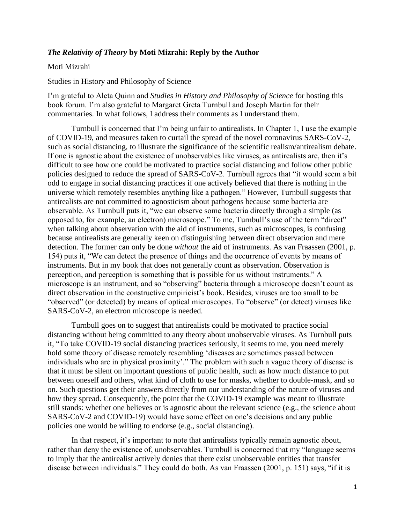## *The Relativity of Theory* **by Moti Mizrahi: Reply by the Author**

## Moti Mizrahi

Studies in History and Philosophy of Science

I'm grateful to Aleta Quinn and *Studies in History and Philosophy of Science* for hosting this book forum. I'm also grateful to Margaret Greta Turnbull and Joseph Martin for their commentaries. In what follows, I address their comments as I understand them.

Turnbull is concerned that I'm being unfair to antirealists. In Chapter 1, I use the example of COVID-19, and measures taken to curtail the spread of the novel coronavirus SARS-CoV-2, such as social distancing, to illustrate the significance of the scientific realism/antirealism debate. If one is agnostic about the existence of unobservables like viruses, as antirealists are, then it's difficult to see how one could be motivated to practice social distancing and follow other public policies designed to reduce the spread of SARS-CoV-2. Turnbull agrees that "it would seem a bit odd to engage in social distancing practices if one actively believed that there is nothing in the universe which remotely resembles anything like a pathogen." However, Turnbull suggests that antirealists are not committed to agnosticism about pathogens because some bacteria are observable. As Turnbull puts it, "we can observe some bacteria directly through a simple (as opposed to, for example, an electron) microscope." To me, Turnbull's use of the term "direct" when talking about observation with the aid of instruments, such as microscopes, is confusing because antirealists are generally keen on distinguishing between direct observation and mere detection. The former can only be done *without* the aid of instruments. As van Fraassen (2001, p. 154) puts it, "We can detect the presence of things and the occurrence of events by means of instruments. But in my book that does not generally count as observation. Observation is perception, and perception is something that is possible for us without instruments." A microscope is an instrument, and so "observing" bacteria through a microscope doesn't count as direct observation in the constructive empiricist's book. Besides, viruses are too small to be "observed" (or detected) by means of optical microscopes. To "observe" (or detect) viruses like SARS-CoV-2, an electron microscope is needed.

Turnbull goes on to suggest that antirealists could be motivated to practice social distancing without being committed to any theory about unobservable viruses. As Turnbull puts it, "To take COVID-19 social distancing practices seriously, it seems to me, you need merely hold some theory of disease remotely resembling 'diseases are sometimes passed between individuals who are in physical proximity'." The problem with such a vague theory of disease is that it must be silent on important questions of public health, such as how much distance to put between oneself and others, what kind of cloth to use for masks, whether to double-mask, and so on. Such questions get their answers directly from our understanding of the nature of viruses and how they spread. Consequently, the point that the COVID-19 example was meant to illustrate still stands: whether one believes or is agnostic about the relevant science (e.g., the science about SARS-CoV-2 and COVID-19) would have some effect on one's decisions and any public policies one would be willing to endorse (e.g., social distancing).

In that respect, it's important to note that antirealists typically remain agnostic about, rather than deny the existence of, unobservables. Turnbull is concerned that my "language seems to imply that the antirealist actively denies that there exist unobservable entities that transfer disease between individuals." They could do both. As van Fraassen (2001, p. 151) says, "if it is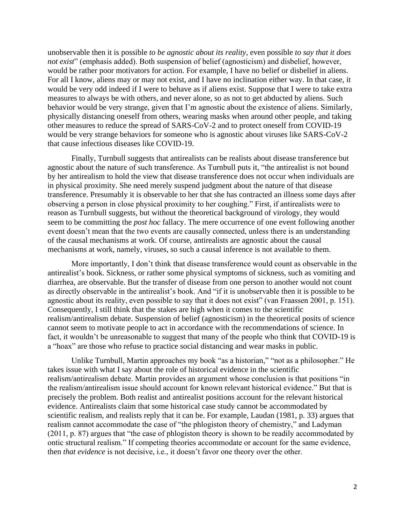unobservable then it is possible *to be agnostic about its reality*, even possible *to say that it does not exist*" (emphasis added). Both suspension of belief (agnosticism) and disbelief, however, would be rather poor motivators for action. For example, I have no belief or disbelief in aliens. For all I know, aliens may or may not exist, and I have no inclination either way. In that case, it would be very odd indeed if I were to behave as if aliens exist. Suppose that I were to take extra measures to always be with others, and never alone, so as not to get abducted by aliens. Such behavior would be very strange, given that I'm agnostic about the existence of aliens. Similarly, physically distancing oneself from others, wearing masks when around other people, and taking other measures to reduce the spread of SARS-CoV-2 and to protect oneself from COVID-19 would be very strange behaviors for someone who is agnostic about viruses like SARS-CoV-2 that cause infectious diseases like COVID-19.

Finally, Turnbull suggests that antirealists can be realists about disease transference but agnostic about the nature of such transference. As Turnbull puts it, "the antirealist is not bound by her antirealism to hold the view that disease transference does not occur when individuals are in physical proximity. She need merely suspend judgment about the nature of that disease transference. Presumably it is observable to her that she has contracted an illness some days after observing a person in close physical proximity to her coughing." First, if antirealists were to reason as Turnbull suggests, but without the theoretical background of virology, they would seem to be committing the *post hoc* fallacy. The mere occurrence of one event following another event doesn't mean that the two events are causally connected, unless there is an understanding of the causal mechanisms at work. Of course, antirealists are agnostic about the causal mechanisms at work, namely, viruses, so such a causal inference is not available to them.

More importantly, I don't think that disease transference would count as observable in the antirealist's book. Sickness, or rather some physical symptoms of sickness, such as vomiting and diarrhea, are observable. But the transfer of disease from one person to another would not count as directly observable in the antirealist's book. And "if it is unobservable then it is possible to be agnostic about its reality, even possible to say that it does not exist" (van Fraassen 2001, p. 151). Consequently, I still think that the stakes are high when it comes to the scientific realism/antirealism debate. Suspension of belief (agnosticism) in the theoretical posits of science cannot seem to motivate people to act in accordance with the recommendations of science. In fact, it wouldn't be unreasonable to suggest that many of the people who think that COVID-19 is a "hoax" are those who refuse to practice social distancing and wear masks in public.

Unlike Turnbull, Martin approaches my book "as a historian," "not as a philosopher." He takes issue with what I say about the role of historical evidence in the scientific realism/antirealism debate. Martin provides an argument whose conclusion is that positions "in the realism/antirealism issue should account for known relevant historical evidence." But that is precisely the problem. Both realist and antirealist positions account for the relevant historical evidence. Antirealists claim that some historical case study cannot be accommodated by scientific realism, and realists reply that it can be. For example, Laudan (1981, p. 33) argues that realism cannot accommodate the case of "the phlogiston theory of chemistry," and Ladyman (2011, p. 87) argues that "the case of phlogiston theory is shown to be readily accommodated by ontic structural realism." If competing theories accommodate or account for the same evidence, then *that evidence* is not decisive, i.e., it doesn't favor one theory over the other.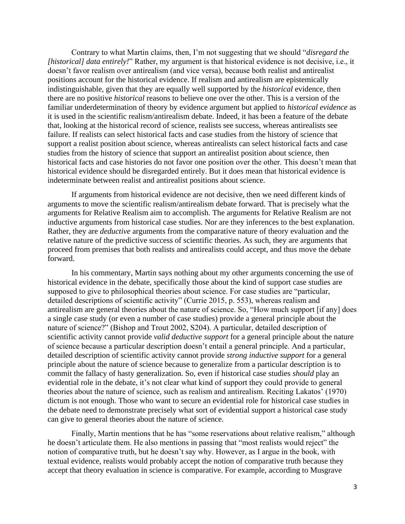Contrary to what Martin claims, then, I'm not suggesting that we should "*disregard the [historical] data entirely!*" Rather, my argument is that historical evidence is not decisive, i.e., it doesn't favor realism over antirealism (and vice versa), because both realist and antirealist positions account for the historical evidence. If realism and antirealism are epistemically indistinguishable, given that they are equally well supported by the *historical* evidence, then there are no positive *historical* reasons to believe one over the other. This is a version of the familiar underdetermination of theory by evidence argument but applied to *historical evidence* as it is used in the scientific realism/antirealism debate. Indeed, it has been a feature of the debate that, looking at the historical record of science, realists see success, whereas antirealists see failure. If realists can select historical facts and case studies from the history of science that support a realist position about science, whereas antirealists can select historical facts and case studies from the history of science that support an antirealist position about science, then historical facts and case histories do not favor one position over the other. This doesn't mean that historical evidence should be disregarded entirely. But it does mean that historical evidence is indeterminate between realist and antirealist positions about science.

If arguments from historical evidence are not decisive, then we need different kinds of arguments to move the scientific realism/antirealism debate forward. That is precisely what the arguments for Relative Realism aim to accomplish. The arguments for Relative Realism are not inductive arguments from historical case studies. Nor are they inferences to the best explanation. Rather, they are *deductive* arguments from the comparative nature of theory evaluation and the relative nature of the predictive success of scientific theories. As such, they are arguments that proceed from premises that both realists and antirealists could accept, and thus move the debate forward.

In his commentary, Martin says nothing about my other arguments concerning the use of historical evidence in the debate, specifically those about the kind of support case studies are supposed to give to philosophical theories about science. For case studies are "particular, detailed descriptions of scientific activity" (Currie 2015, p. 553), whereas realism and antirealism are general theories about the nature of science. So, "How much support [if any] does a single case study (or even a number of case studies) provide a general principle about the nature of science?" (Bishop and Trout 2002, S204). A particular, detailed description of scientific activity cannot provide *valid deductive support* for a general principle about the nature of science because a particular description doesn't entail a general principle. And a particular, detailed description of scientific activity cannot provide *strong inductive support* for a general principle about the nature of science because to generalize from a particular description is to commit the fallacy of hasty generalization. So, even if historical case studies *should* play an evidential role in the debate, it's not clear what kind of support they could provide to general theories about the nature of science, such as realism and antirealism. Reciting Lakatos' (1970) dictum is not enough. Those who want to secure an evidential role for historical case studies in the debate need to demonstrate precisely what sort of evidential support a historical case study can give to general theories about the nature of science.

Finally, Martin mentions that he has "some reservations about relative realism," although he doesn't articulate them. He also mentions in passing that "most realists would reject" the notion of comparative truth, but he doesn't say why. However, as I argue in the book, with textual evidence, realists would probably accept the notion of comparative truth because they accept that theory evaluation in science is comparative. For example, according to Musgrave